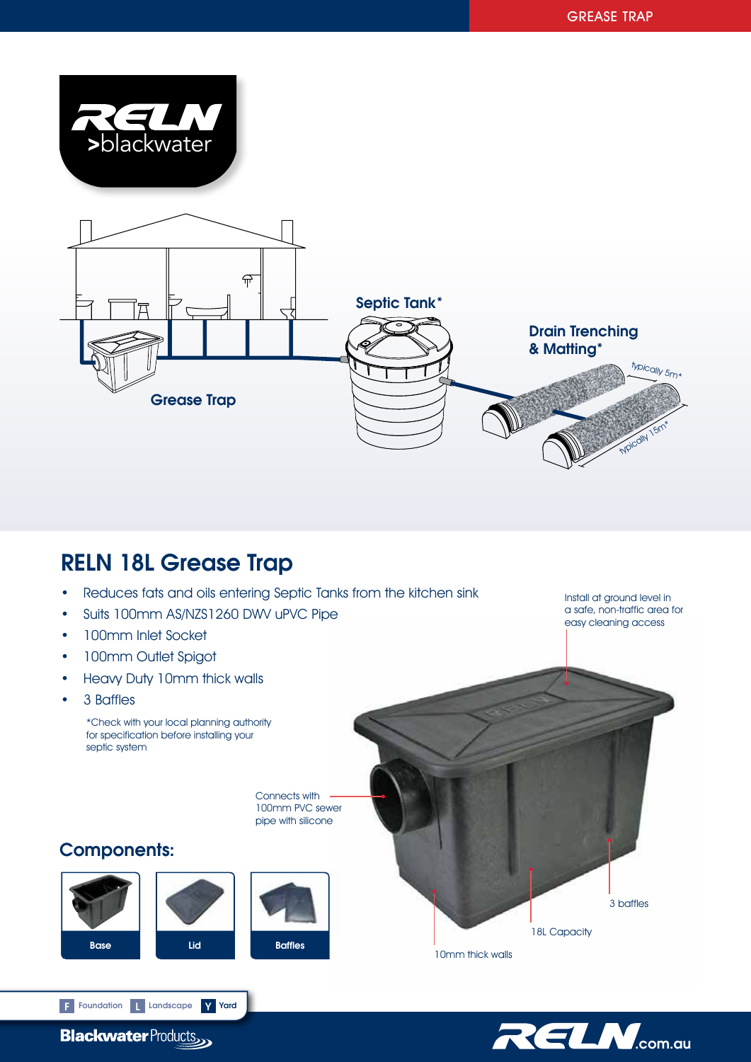

# RELN 18L Grease Trap

- Reduces fats and oils entering Septic Tanks from the kitchen sink
- Suits 100mm AS/NZS1260 DWV uPVC Pipe
- 100mm Inlet Socket
- 100mm Outlet Spigot
- Heavy Duty 10mm thick walls
- 3 Baffles

\*Check with your local planning authority for specification before installing your septic system

> Connects with 100mm PVC sewer pipe with silicone

Components:







a safe, non-traffic area for easy cleaning access

Install at ground level in



RELM.com.au

3 baffles

18L Capacity

10mm thick walls

**Blackwater Products** 

F Foundation Landscape V Yard